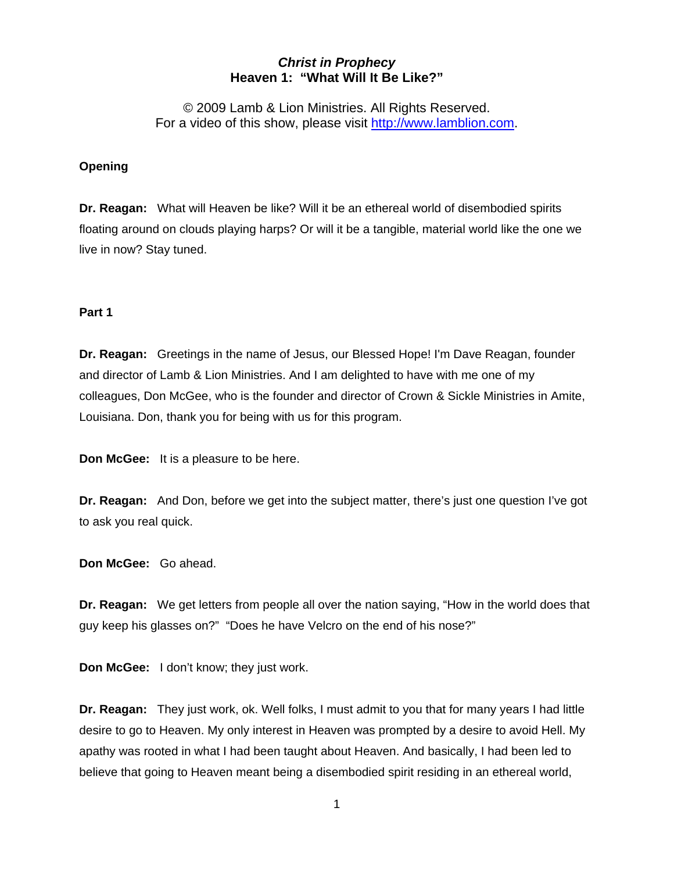# *Christ in Prophecy*  **Heaven 1: "What Will It Be Like?"**

© 2009 Lamb & Lion Ministries. All Rights Reserved. For a video of this show, please visit [http://www.lamblion.com](http://www.lamblion.com/).

## **Opening**

**Dr. Reagan:** What will Heaven be like? Will it be an ethereal world of disembodied spirits floating around on clouds playing harps? Or will it be a tangible, material world like the one we live in now? Stay tuned.

## **Part 1**

**Dr. Reagan:** Greetings in the name of Jesus, our Blessed Hope! I'm Dave Reagan, founder and director of Lamb & Lion Ministries. And I am delighted to have with me one of my colleagues, Don McGee, who is the founder and director of Crown & Sickle Ministries in Amite, Louisiana. Don, thank you for being with us for this program.

**Don McGee:** It is a pleasure to be here.

**Dr. Reagan:** And Don, before we get into the subject matter, there's just one question I've got to ask you real quick.

**Don McGee:** Go ahead.

**Dr. Reagan:** We get letters from people all over the nation saying, "How in the world does that guy keep his glasses on?" "Does he have Velcro on the end of his nose?"

**Don McGee:** I don't know; they just work.

**Dr. Reagan:** They just work, ok. Well folks, I must admit to you that for many years I had little desire to go to Heaven. My only interest in Heaven was prompted by a desire to avoid Hell. My apathy was rooted in what I had been taught about Heaven. And basically, I had been led to believe that going to Heaven meant being a disembodied spirit residing in an ethereal world,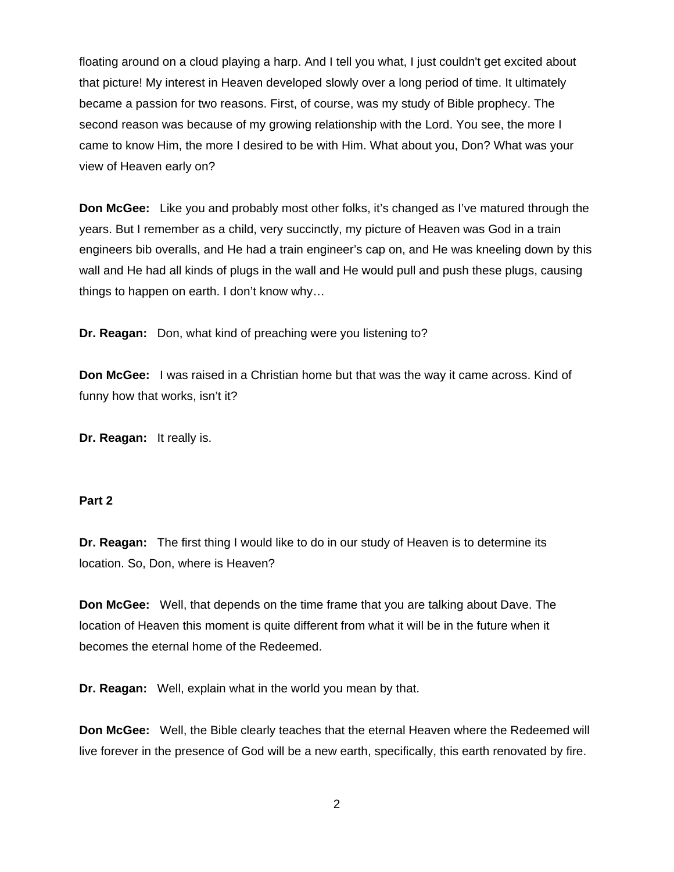floating around on a cloud playing a harp. And I tell you what, I just couldn't get excited about that picture! My interest in Heaven developed slowly over a long period of time. It ultimately became a passion for two reasons. First, of course, was my study of Bible prophecy. The second reason was because of my growing relationship with the Lord. You see, the more I came to know Him, the more I desired to be with Him. What about you, Don? What was your view of Heaven early on?

**Don McGee:** Like you and probably most other folks, it's changed as I've matured through the years. But I remember as a child, very succinctly, my picture of Heaven was God in a train engineers bib overalls, and He had a train engineer's cap on, and He was kneeling down by this wall and He had all kinds of plugs in the wall and He would pull and push these plugs, causing things to happen on earth. I don't know why…

**Dr. Reagan:** Don, what kind of preaching were you listening to?

**Don McGee:** I was raised in a Christian home but that was the way it came across. Kind of funny how that works, isn't it?

**Dr. Reagan:** It really is.

### **Part 2**

**Dr. Reagan:** The first thing I would like to do in our study of Heaven is to determine its location. So, Don, where is Heaven?

**Don McGee:** Well, that depends on the time frame that you are talking about Dave. The location of Heaven this moment is quite different from what it will be in the future when it becomes the eternal home of the Redeemed.

**Dr. Reagan:** Well, explain what in the world you mean by that.

**Don McGee:** Well, the Bible clearly teaches that the eternal Heaven where the Redeemed will live forever in the presence of God will be a new earth, specifically, this earth renovated by fire.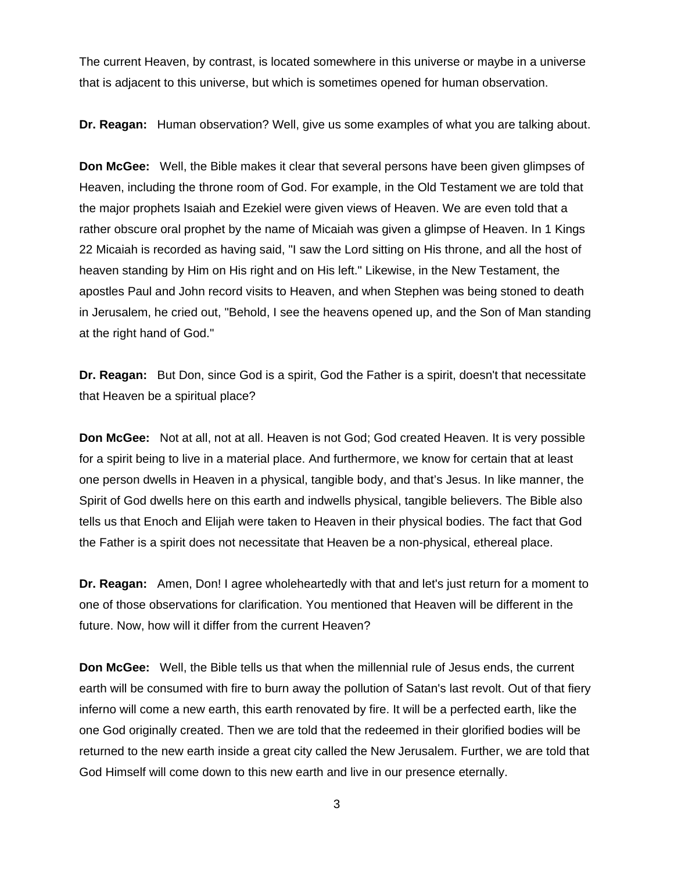The current Heaven, by contrast, is located somewhere in this universe or maybe in a universe that is adjacent to this universe, but which is sometimes opened for human observation.

**Dr. Reagan:** Human observation? Well, give us some examples of what you are talking about.

**Don McGee:** Well, the Bible makes it clear that several persons have been given glimpses of Heaven, including the throne room of God. For example, in the Old Testament we are told that the major prophets Isaiah and Ezekiel were given views of Heaven. We are even told that a rather obscure oral prophet by the name of Micaiah was given a glimpse of Heaven. In 1 Kings 22 Micaiah is recorded as having said, "I saw the Lord sitting on His throne, and all the host of heaven standing by Him on His right and on His left." Likewise, in the New Testament, the apostles Paul and John record visits to Heaven, and when Stephen was being stoned to death in Jerusalem, he cried out, "Behold, I see the heavens opened up, and the Son of Man standing at the right hand of God."

**Dr. Reagan:** But Don, since God is a spirit, God the Father is a spirit, doesn't that necessitate that Heaven be a spiritual place?

**Don McGee:** Not at all, not at all. Heaven is not God; God created Heaven. It is very possible for a spirit being to live in a material place. And furthermore, we know for certain that at least one person dwells in Heaven in a physical, tangible body, and that's Jesus. In like manner, the Spirit of God dwells here on this earth and indwells physical, tangible believers. The Bible also tells us that Enoch and Elijah were taken to Heaven in their physical bodies. The fact that God the Father is a spirit does not necessitate that Heaven be a non-physical, ethereal place.

**Dr. Reagan:** Amen, Don! I agree wholeheartedly with that and let's just return for a moment to one of those observations for clarification. You mentioned that Heaven will be different in the future. Now, how will it differ from the current Heaven?

**Don McGee:** Well, the Bible tells us that when the millennial rule of Jesus ends, the current earth will be consumed with fire to burn away the pollution of Satan's last revolt. Out of that fiery inferno will come a new earth, this earth renovated by fire. It will be a perfected earth, like the one God originally created. Then we are told that the redeemed in their glorified bodies will be returned to the new earth inside a great city called the New Jerusalem. Further, we are told that God Himself will come down to this new earth and live in our presence eternally.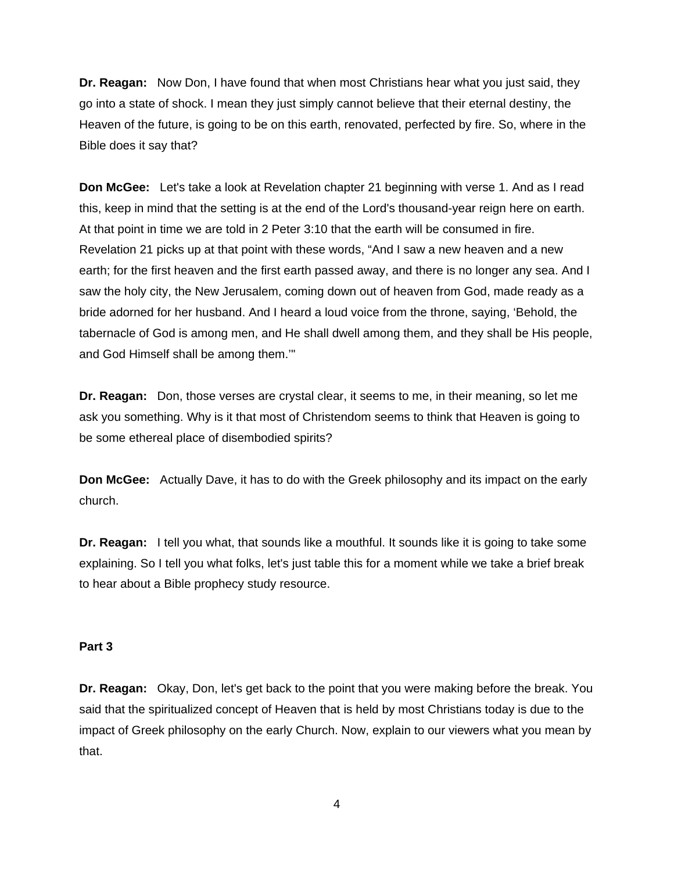**Dr. Reagan:** Now Don, I have found that when most Christians hear what you just said, they go into a state of shock. I mean they just simply cannot believe that their eternal destiny, the Heaven of the future, is going to be on this earth, renovated, perfected by fire. So, where in the Bible does it say that?

**Don McGee:** Let's take a look at Revelation chapter 21 beginning with verse 1. And as I read this, keep in mind that the setting is at the end of the Lord's thousand-year reign here on earth. At that point in time we are told in 2 Peter 3:10 that the earth will be consumed in fire. Revelation 21 picks up at that point with these words, "And I saw a new heaven and a new earth; for the first heaven and the first earth passed away, and there is no longer any sea. And I saw the holy city, the New Jerusalem, coming down out of heaven from God, made ready as a bride adorned for her husband. And I heard a loud voice from the throne, saying, 'Behold, the tabernacle of God is among men, and He shall dwell among them, and they shall be His people, and God Himself shall be among them.'"

**Dr. Reagan:** Don, those verses are crystal clear, it seems to me, in their meaning, so let me ask you something. Why is it that most of Christendom seems to think that Heaven is going to be some ethereal place of disembodied spirits?

**Don McGee:** Actually Dave, it has to do with the Greek philosophy and its impact on the early church.

**Dr. Reagan:** I tell you what, that sounds like a mouthful. It sounds like it is going to take some explaining. So I tell you what folks, let's just table this for a moment while we take a brief break to hear about a Bible prophecy study resource.

### **Part 3**

**Dr. Reagan:** Okay, Don, let's get back to the point that you were making before the break. You said that the spiritualized concept of Heaven that is held by most Christians today is due to the impact of Greek philosophy on the early Church. Now, explain to our viewers what you mean by that.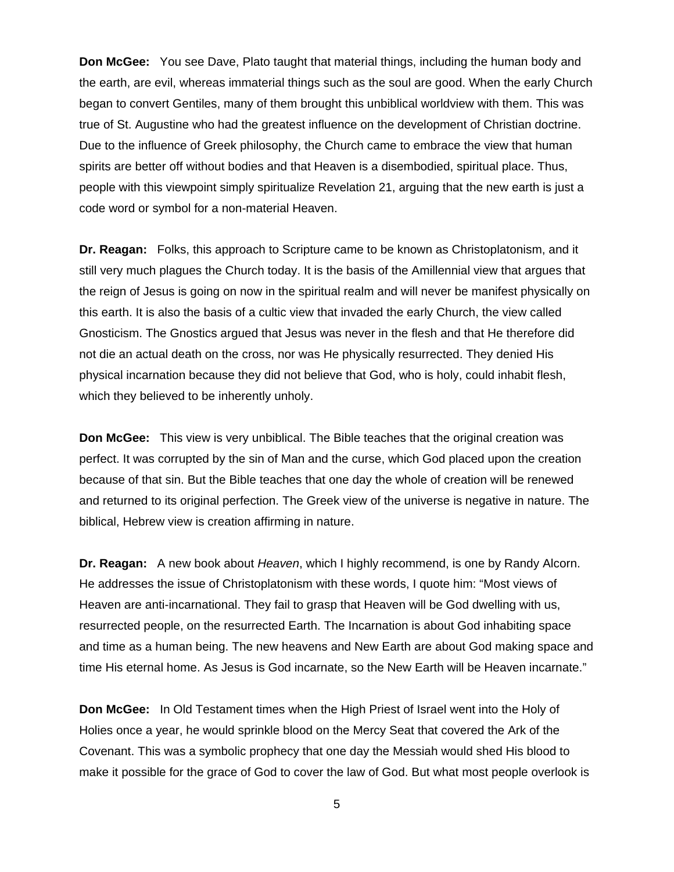**Don McGee:** You see Dave, Plato taught that material things, including the human body and the earth, are evil, whereas immaterial things such as the soul are good. When the early Church began to convert Gentiles, many of them brought this unbiblical worldview with them. This was true of St. Augustine who had the greatest influence on the development of Christian doctrine. Due to the influence of Greek philosophy, the Church came to embrace the view that human spirits are better off without bodies and that Heaven is a disembodied, spiritual place. Thus, people with this viewpoint simply spiritualize Revelation 21, arguing that the new earth is just a code word or symbol for a non-material Heaven.

**Dr. Reagan:** Folks, this approach to Scripture came to be known as Christoplatonism, and it still very much plagues the Church today. It is the basis of the Amillennial view that argues that the reign of Jesus is going on now in the spiritual realm and will never be manifest physically on this earth. It is also the basis of a cultic view that invaded the early Church, the view called Gnosticism. The Gnostics argued that Jesus was never in the flesh and that He therefore did not die an actual death on the cross, nor was He physically resurrected. They denied His physical incarnation because they did not believe that God, who is holy, could inhabit flesh, which they believed to be inherently unholy.

**Don McGee:** This view is very unbiblical. The Bible teaches that the original creation was perfect. It was corrupted by the sin of Man and the curse, which God placed upon the creation because of that sin. But the Bible teaches that one day the whole of creation will be renewed and returned to its original perfection. The Greek view of the universe is negative in nature. The biblical, Hebrew view is creation affirming in nature.

**Dr. Reagan:** A new book about *Heaven*, which I highly recommend, is one by Randy Alcorn. He addresses the issue of Christoplatonism with these words, I quote him: "Most views of Heaven are anti-incarnational. They fail to grasp that Heaven will be God dwelling with us, resurrected people, on the resurrected Earth. The Incarnation is about God inhabiting space and time as a human being. The new heavens and New Earth are about God making space and time His eternal home. As Jesus is God incarnate, so the New Earth will be Heaven incarnate."

**Don McGee:** In Old Testament times when the High Priest of Israel went into the Holy of Holies once a year, he would sprinkle blood on the Mercy Seat that covered the Ark of the Covenant. This was a symbolic prophecy that one day the Messiah would shed His blood to make it possible for the grace of God to cover the law of God. But what most people overlook is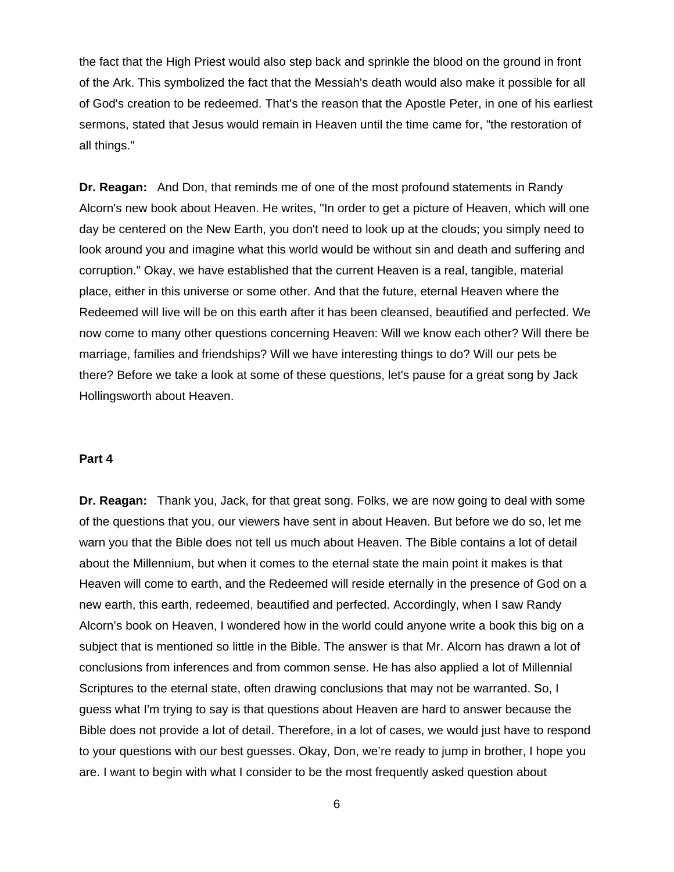the fact that the High Priest would also step back and sprinkle the blood on the ground in front of the Ark. This symbolized the fact that the Messiah's death would also make it possible for all of God's creation to be redeemed. That's the reason that the Apostle Peter, in one of his earliest sermons, stated that Jesus would remain in Heaven until the time came for, "the restoration of all things."

**Dr. Reagan:** And Don, that reminds me of one of the most profound statements in Randy Alcorn's new book about Heaven. He writes, "In order to get a picture of Heaven, which will one day be centered on the New Earth, you don't need to look up at the clouds; you simply need to look around you and imagine what this world would be without sin and death and suffering and corruption." Okay, we have established that the current Heaven is a real, tangible, material place, either in this universe or some other. And that the future, eternal Heaven where the Redeemed will live will be on this earth after it has been cleansed, beautified and perfected. We now come to many other questions concerning Heaven: Will we know each other? Will there be marriage, families and friendships? Will we have interesting things to do? Will our pets be there? Before we take a look at some of these questions, let's pause for a great song by Jack Hollingsworth about Heaven.

#### **Part 4**

**Dr. Reagan:** Thank you, Jack, for that great song. Folks, we are now going to deal with some of the questions that you, our viewers have sent in about Heaven. But before we do so, let me warn you that the Bible does not tell us much about Heaven. The Bible contains a lot of detail about the Millennium, but when it comes to the eternal state the main point it makes is that Heaven will come to earth, and the Redeemed will reside eternally in the presence of God on a new earth, this earth, redeemed, beautified and perfected. Accordingly, when I saw Randy Alcorn's book on Heaven, I wondered how in the world could anyone write a book this big on a subject that is mentioned so little in the Bible. The answer is that Mr. Alcorn has drawn a lot of conclusions from inferences and from common sense. He has also applied a lot of Millennial Scriptures to the eternal state, often drawing conclusions that may not be warranted. So, I guess what I'm trying to say is that questions about Heaven are hard to answer because the Bible does not provide a lot of detail. Therefore, in a lot of cases, we would just have to respond to your questions with our best guesses. Okay, Don, we're ready to jump in brother, I hope you are. I want to begin with what I consider to be the most frequently asked question about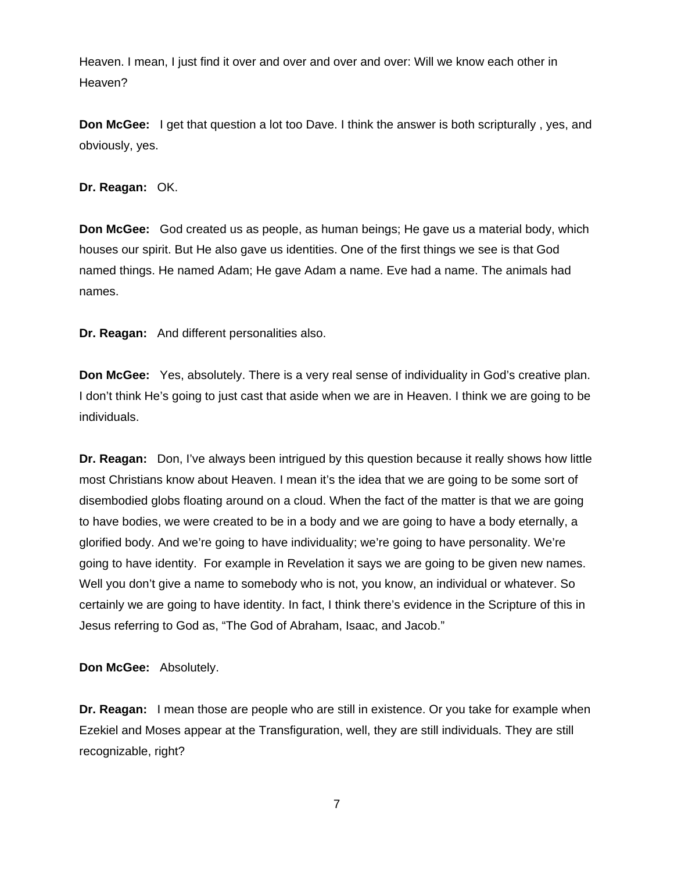Heaven. I mean, I just find it over and over and over and over: Will we know each other in Heaven?

**Don McGee:** I get that question a lot too Dave. I think the answer is both scripturally , yes, and obviously, yes.

**Dr. Reagan:** OK.

**Don McGee:** God created us as people, as human beings; He gave us a material body, which houses our spirit. But He also gave us identities. One of the first things we see is that God named things. He named Adam; He gave Adam a name. Eve had a name. The animals had names.

**Dr. Reagan:** And different personalities also.

**Don McGee:** Yes, absolutely. There is a very real sense of individuality in God's creative plan. I don't think He's going to just cast that aside when we are in Heaven. I think we are going to be individuals.

**Dr. Reagan:** Don, I've always been intrigued by this question because it really shows how little most Christians know about Heaven. I mean it's the idea that we are going to be some sort of disembodied globs floating around on a cloud. When the fact of the matter is that we are going to have bodies, we were created to be in a body and we are going to have a body eternally, a glorified body. And we're going to have individuality; we're going to have personality. We're going to have identity. For example in Revelation it says we are going to be given new names. Well you don't give a name to somebody who is not, you know, an individual or whatever. So certainly we are going to have identity. In fact, I think there's evidence in the Scripture of this in Jesus referring to God as, "The God of Abraham, Isaac, and Jacob."

**Don McGee:** Absolutely.

**Dr. Reagan:** I mean those are people who are still in existence. Or you take for example when Ezekiel and Moses appear at the Transfiguration, well, they are still individuals. They are still recognizable, right?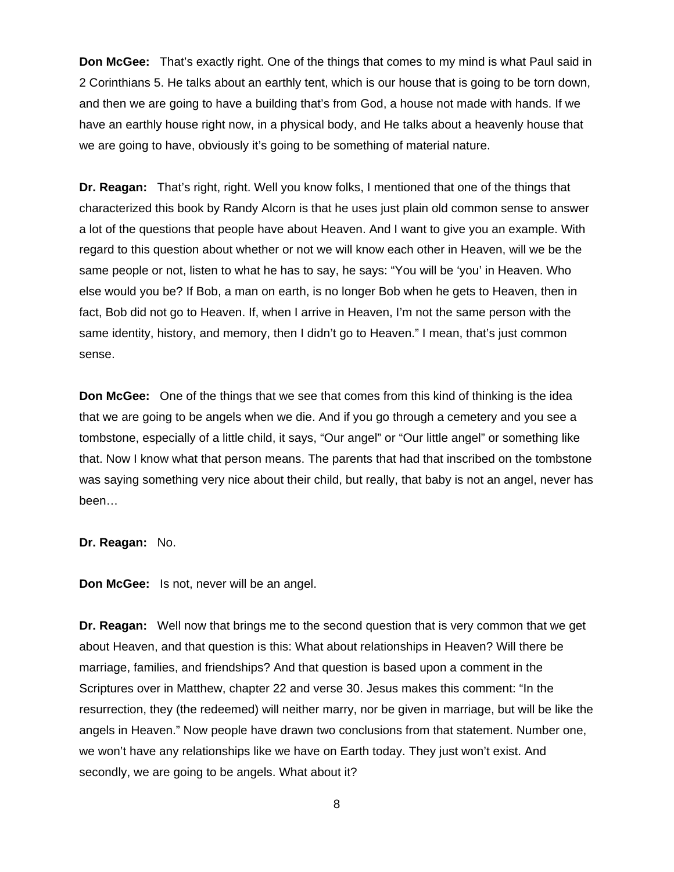**Don McGee:** That's exactly right. One of the things that comes to my mind is what Paul said in 2 Corinthians 5. He talks about an earthly tent, which is our house that is going to be torn down, and then we are going to have a building that's from God, a house not made with hands. If we have an earthly house right now, in a physical body, and He talks about a heavenly house that we are going to have, obviously it's going to be something of material nature.

**Dr. Reagan:** That's right, right. Well you know folks, I mentioned that one of the things that characterized this book by Randy Alcorn is that he uses just plain old common sense to answer a lot of the questions that people have about Heaven. And I want to give you an example. With regard to this question about whether or not we will know each other in Heaven, will we be the same people or not, listen to what he has to say, he says: "You will be 'you' in Heaven. Who else would you be? If Bob, a man on earth, is no longer Bob when he gets to Heaven, then in fact, Bob did not go to Heaven. If, when I arrive in Heaven, I'm not the same person with the same identity, history, and memory, then I didn't go to Heaven." I mean, that's just common sense.

**Don McGee:** One of the things that we see that comes from this kind of thinking is the idea that we are going to be angels when we die. And if you go through a cemetery and you see a tombstone, especially of a little child, it says, "Our angel" or "Our little angel" or something like that. Now I know what that person means. The parents that had that inscribed on the tombstone was saying something very nice about their child, but really, that baby is not an angel, never has been…

### **Dr. Reagan:** No.

**Don McGee:** Is not, never will be an angel.

**Dr. Reagan:** Well now that brings me to the second question that is very common that we get about Heaven, and that question is this: What about relationships in Heaven? Will there be marriage, families, and friendships? And that question is based upon a comment in the Scriptures over in Matthew, chapter 22 and verse 30. Jesus makes this comment: "In the resurrection, they (the redeemed) will neither marry, nor be given in marriage, but will be like the angels in Heaven." Now people have drawn two conclusions from that statement. Number one, we won't have any relationships like we have on Earth today. They just won't exist. And secondly, we are going to be angels. What about it?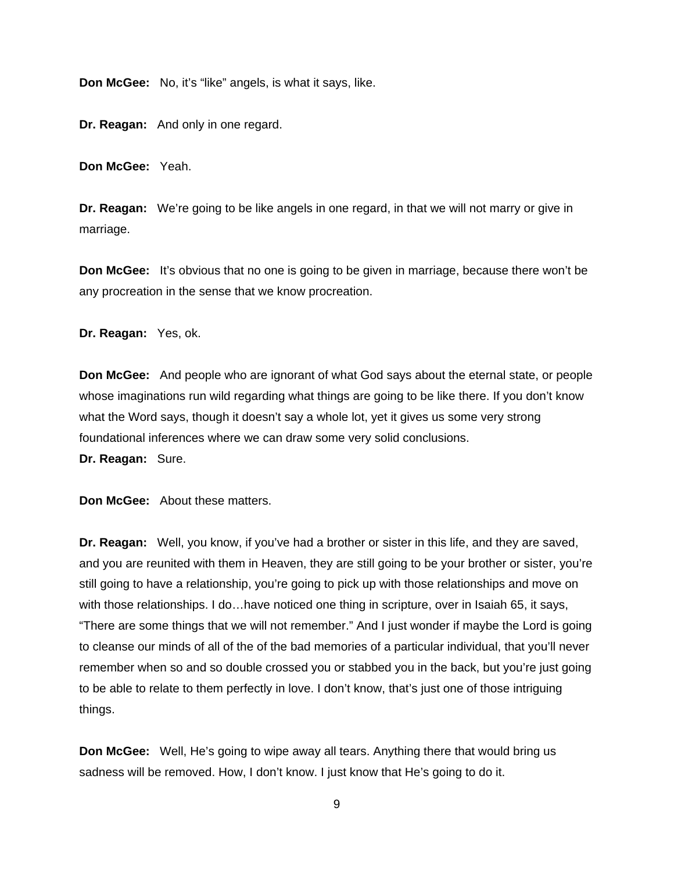**Don McGee:** No, it's "like" angels, is what it says, like.

**Dr. Reagan:** And only in one regard.

**Don McGee:** Yeah.

**Dr. Reagan:** We're going to be like angels in one regard, in that we will not marry or give in marriage.

**Don McGee:** It's obvious that no one is going to be given in marriage, because there won't be any procreation in the sense that we know procreation.

**Dr. Reagan:** Yes, ok.

**Don McGee:** And people who are ignorant of what God says about the eternal state, or people whose imaginations run wild regarding what things are going to be like there. If you don't know what the Word says, though it doesn't say a whole lot, yet it gives us some very strong foundational inferences where we can draw some very solid conclusions.

**Dr. Reagan:** Sure.

**Don McGee:** About these matters.

**Dr. Reagan:** Well, you know, if you've had a brother or sister in this life, and they are saved, and you are reunited with them in Heaven, they are still going to be your brother or sister, you're still going to have a relationship, you're going to pick up with those relationships and move on with those relationships. I do…have noticed one thing in scripture, over in Isaiah 65, it says, "There are some things that we will not remember." And I just wonder if maybe the Lord is going to cleanse our minds of all of the of the bad memories of a particular individual, that you'll never remember when so and so double crossed you or stabbed you in the back, but you're just going to be able to relate to them perfectly in love. I don't know, that's just one of those intriguing things.

**Don McGee:** Well, He's going to wipe away all tears. Anything there that would bring us sadness will be removed. How, I don't know. I just know that He's going to do it.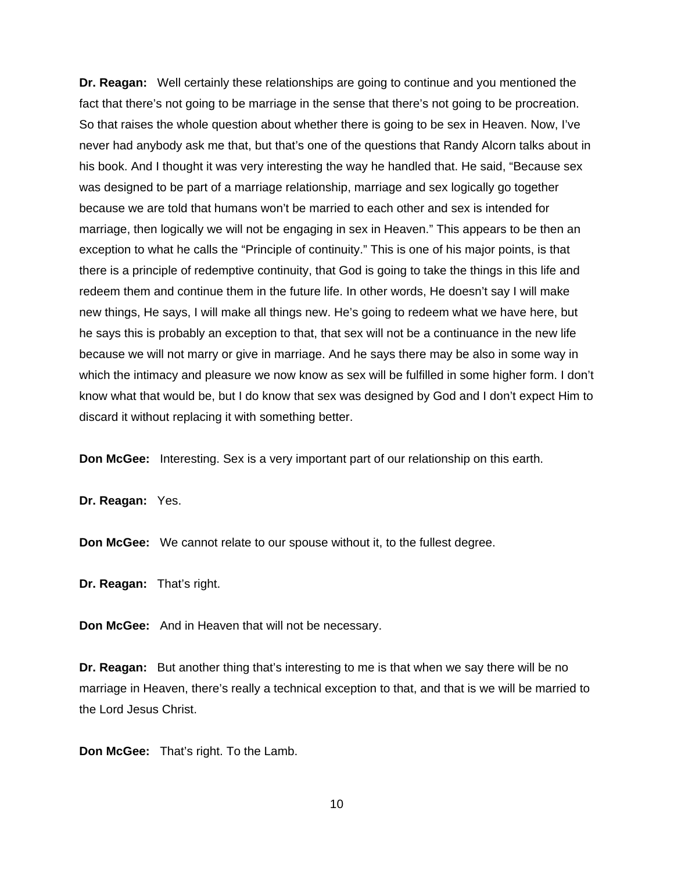**Dr. Reagan:** Well certainly these relationships are going to continue and you mentioned the fact that there's not going to be marriage in the sense that there's not going to be procreation. So that raises the whole question about whether there is going to be sex in Heaven. Now, I've never had anybody ask me that, but that's one of the questions that Randy Alcorn talks about in his book. And I thought it was very interesting the way he handled that. He said, "Because sex was designed to be part of a marriage relationship, marriage and sex logically go together because we are told that humans won't be married to each other and sex is intended for marriage, then logically we will not be engaging in sex in Heaven." This appears to be then an exception to what he calls the "Principle of continuity." This is one of his major points, is that there is a principle of redemptive continuity, that God is going to take the things in this life and redeem them and continue them in the future life. In other words, He doesn't say I will make new things, He says, I will make all things new. He's going to redeem what we have here, but he says this is probably an exception to that, that sex will not be a continuance in the new life because we will not marry or give in marriage. And he says there may be also in some way in which the intimacy and pleasure we now know as sex will be fulfilled in some higher form. I don't know what that would be, but I do know that sex was designed by God and I don't expect Him to discard it without replacing it with something better.

**Don McGee:** Interesting. Sex is a very important part of our relationship on this earth.

**Dr. Reagan:** Yes.

**Don McGee:** We cannot relate to our spouse without it, to the fullest degree.

**Dr. Reagan:** That's right.

**Don McGee:** And in Heaven that will not be necessary.

**Dr. Reagan:** But another thing that's interesting to me is that when we say there will be no marriage in Heaven, there's really a technical exception to that, and that is we will be married to the Lord Jesus Christ.

**Don McGee:** That's right. To the Lamb.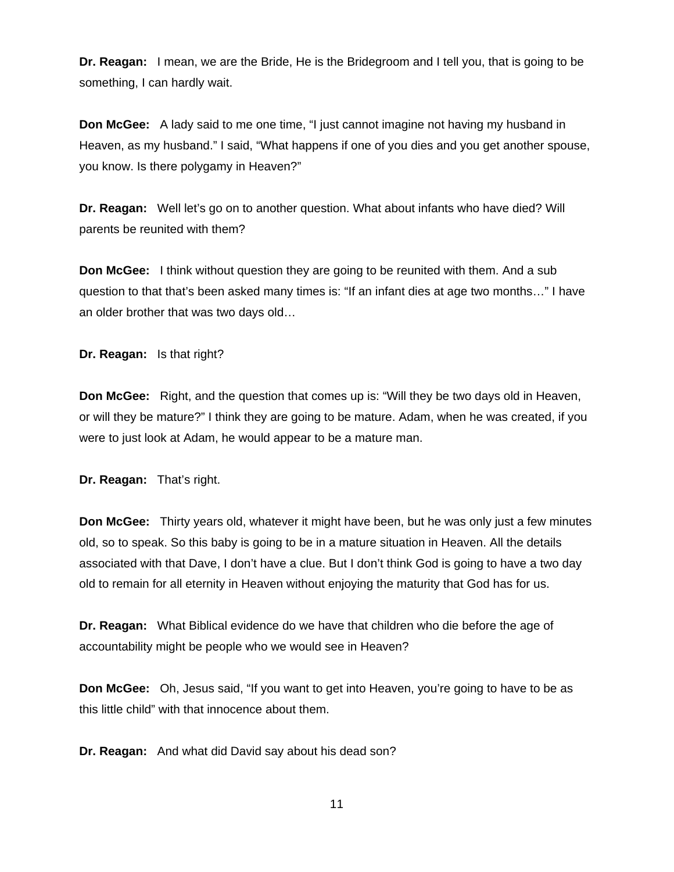**Dr. Reagan:** I mean, we are the Bride, He is the Bridegroom and I tell you, that is going to be something, I can hardly wait.

**Don McGee:** A lady said to me one time, "I just cannot imagine not having my husband in Heaven, as my husband." I said, "What happens if one of you dies and you get another spouse, you know. Is there polygamy in Heaven?"

**Dr. Reagan:** Well let's go on to another question. What about infants who have died? Will parents be reunited with them?

**Don McGee:** I think without question they are going to be reunited with them. And a sub question to that that's been asked many times is: "If an infant dies at age two months…" I have an older brother that was two days old…

**Dr. Reagan:** Is that right?

**Don McGee:** Right, and the question that comes up is: "Will they be two days old in Heaven, or will they be mature?" I think they are going to be mature. Adam, when he was created, if you were to just look at Adam, he would appear to be a mature man.

**Dr. Reagan:** That's right.

**Don McGee:** Thirty years old, whatever it might have been, but he was only just a few minutes old, so to speak. So this baby is going to be in a mature situation in Heaven. All the details associated with that Dave, I don't have a clue. But I don't think God is going to have a two day old to remain for all eternity in Heaven without enjoying the maturity that God has for us.

**Dr. Reagan:** What Biblical evidence do we have that children who die before the age of accountability might be people who we would see in Heaven?

**Don McGee:** Oh, Jesus said, "If you want to get into Heaven, you're going to have to be as this little child" with that innocence about them.

**Dr. Reagan:** And what did David say about his dead son?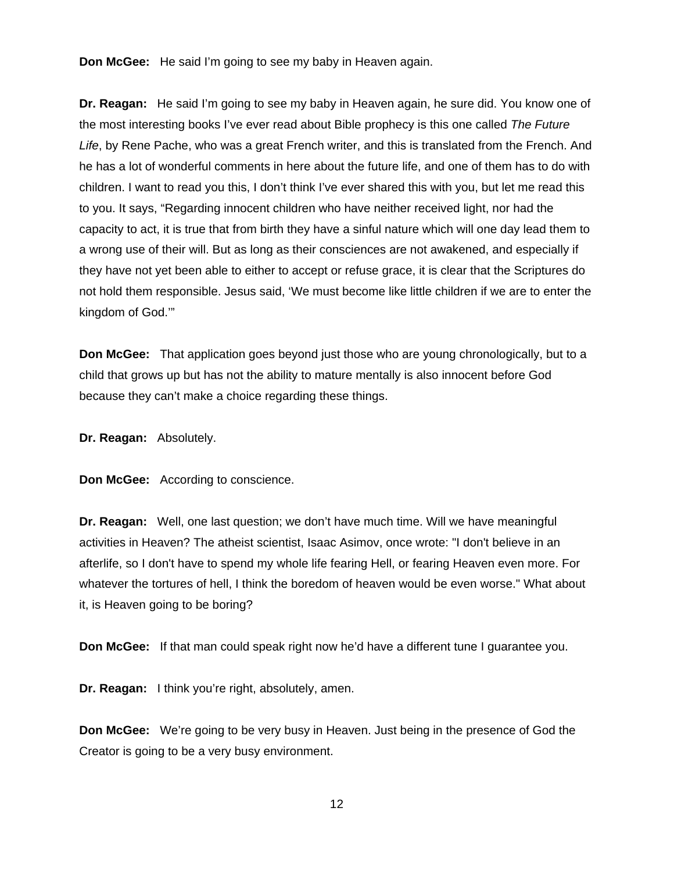**Don McGee:** He said I'm going to see my baby in Heaven again.

**Dr. Reagan:** He said I'm going to see my baby in Heaven again, he sure did. You know one of the most interesting books I've ever read about Bible prophecy is this one called *The Future Life*, by Rene Pache, who was a great French writer, and this is translated from the French. And he has a lot of wonderful comments in here about the future life, and one of them has to do with children. I want to read you this, I don't think I've ever shared this with you, but let me read this to you. It says, "Regarding innocent children who have neither received light, nor had the capacity to act, it is true that from birth they have a sinful nature which will one day lead them to a wrong use of their will. But as long as their consciences are not awakened, and especially if they have not yet been able to either to accept or refuse grace, it is clear that the Scriptures do not hold them responsible. Jesus said, 'We must become like little children if we are to enter the kingdom of God.'"

**Don McGee:** That application goes beyond just those who are young chronologically, but to a child that grows up but has not the ability to mature mentally is also innocent before God because they can't make a choice regarding these things.

**Dr. Reagan:** Absolutely.

**Don McGee:** According to conscience.

**Dr. Reagan:** Well, one last question; we don't have much time. Will we have meaningful activities in Heaven? The atheist scientist, Isaac Asimov, once wrote: "I don't believe in an afterlife, so I don't have to spend my whole life fearing Hell, or fearing Heaven even more. For whatever the tortures of hell, I think the boredom of heaven would be even worse." What about it, is Heaven going to be boring?

**Don McGee:** If that man could speak right now he'd have a different tune I guarantee you.

**Dr. Reagan:** I think you're right, absolutely, amen.

**Don McGee:** We're going to be very busy in Heaven. Just being in the presence of God the Creator is going to be a very busy environment.